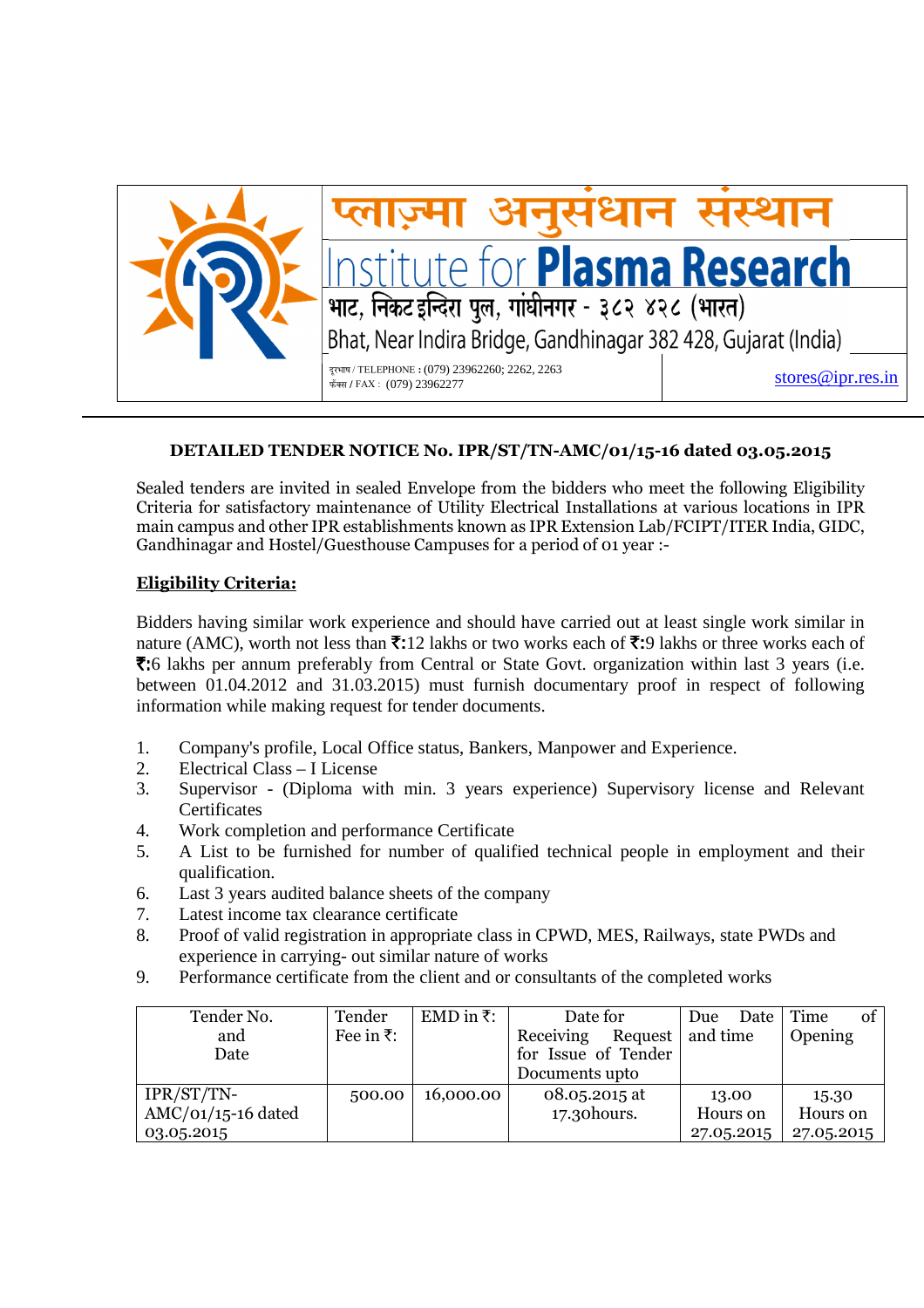

## अनुसंधान संस्थान for **Plasma Research** भाट, निकट इन्दिरा पूल, गांघीनगर - ३८२ ४२८ (भारत) Bhat, Near Indira Bridge, Gandhinagar 382 428, Gujarat (India) दरभाष / TELEPHONE : (079) 23962260; 2262. 2263 stores@ipr.res.in ±úïŒÃÖ **/** FAX :(079) 23962277

## **DETAILED TENDER NOTICE No. IPR/ST/TN-AMC/01/15-16 dated 03.05.2015**

Sealed tenders are invited in sealed Envelope from the bidders who meet the following Eligibility Criteria for satisfactory maintenance of Utility Electrical Installations at various locations in IPR main campus and other IPR establishments known as IPR Extension Lab/FCIPT/ITER India, GIDC, Gandhinagar and Hostel/Guesthouse Campuses for a period of 01 year :-

## **Eligibility Criteria:**

Bidders having similar work experience and should have carried out at least single work similar in nature (AMC), worth not less than  $\bar{\tau}$ :12 lakhs or two works each of  $\bar{\tau}$ :9 lakhs or three works each of  $\overline{\xi}$ :6 lakhs per annum preferably from Central or State Govt. organization within last 3 years (i.e. between 01.04.2012 and 31.03.2015) must furnish documentary proof in respect of following information while making request for tender documents.

- 1. Company's profile, Local Office status, Bankers, Manpower and Experience.
- 2. Electrical Class I License
- 3. Supervisor (Diploma with min. 3 years experience) Supervisory license and Relevant **Certificates**
- 4. Work completion and performance Certificate
- 5. A List to be furnished for number of qualified technical people in employment and their qualification.
- 6. Last 3 years audited balance sheets of the company
- 7. Latest income tax clearance certificate
- 8. Proof of valid registration in appropriate class in CPWD, MES, Railways, state PWDs and experience in carrying- out similar nature of works
- 9. Performance certificate from the client and or consultants of the completed works

| Tender No.           | Tender             | EMD in $\overline{\tau}$ : | Date for               | Date<br>Due | of<br>  Time |
|----------------------|--------------------|----------------------------|------------------------|-------------|--------------|
| and                  | Fee in $\bar{z}$ : |                            | Request  <br>Receiving | and time    | Opening      |
| Date                 |                    |                            | for Issue of Tender    |             |              |
|                      |                    |                            | Documents upto         |             |              |
| IPR/ST/TN-           | 500.00             | 16,000.00                  | 08.05.2015 at          | 13.00       | 15.30        |
| $AMC/O1/15-16$ dated |                    |                            | 17.30 hours.           | Hours on    | Hours on     |
| 03.05.2015           |                    |                            |                        | 27.05.2015  | 27.05.2015   |